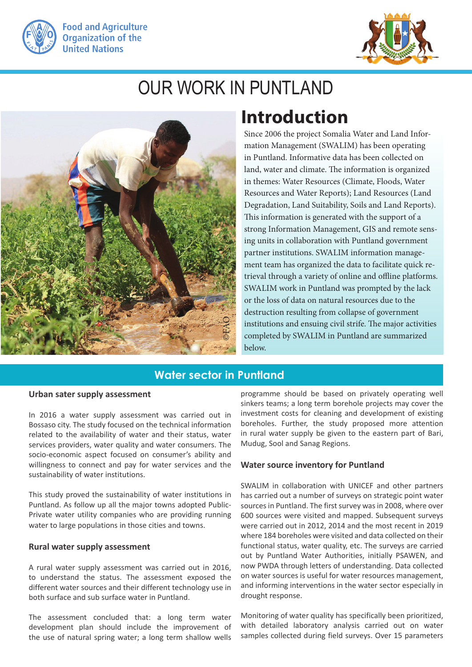



# OUR WORK IN PUNTLAND



## **Introduction**

Since 2006 the project Somalia Water and Land Information Management (SWALIM) has been operating in Puntland. Informative data has been collected on land, water and climate. The information is organized in themes: Water Resources (Climate, Floods, Water Resources and Water Reports); Land Resources (Land Degradation, Land Suitability, Soils and Land Reports). This information is generated with the support of a strong Information Management, GIS and remote sensing units in collaboration with Puntland government partner institutions. SWALIM information management team has organized the data to facilitate quick retrieval through a variety of online and offline platforms. SWALIM work in Puntland was prompted by the lack or the loss of data on natural resources due to the destruction resulting from collapse of government institutions and ensuing civil strife. The major activities completed by SWALIM in Puntland are summarized below.

## **Water sector in Puntland**

#### **Urban sater supply assessment**

In 2016 a water supply assessment was carried out in Bossaso city. The study focused on the technical information related to the availability of water and their status, water services providers, water quality and water consumers. The socio-economic aspect focused on consumer's ability and willingness to connect and pay for water services and the sustainability of water institutions.

This study proved the sustainability of water institutions in Puntland. As follow up all the major towns adopted Public-Private water utility companies who are providing running water to large populations in those cities and towns.

#### **Rural water supply assessment**

A rural water supply assessment was carried out in 2016, to understand the status. The assessment exposed the different water sources and their different technology use in both surface and sub surface water in Puntland.

The assessment concluded that: a long term water development plan should include the improvement of the use of natural spring water; a long term shallow wells programme should be based on privately operating well sinkers teams; a long term borehole projects may cover the investment costs for cleaning and development of existing boreholes. Further, the study proposed more attention in rural water supply be given to the eastern part of Bari, Mudug, Sool and Sanag Regions.

#### **Water source inventory for Puntland**

SWALIM in collaboration with UNICEF and other partners has carried out a number of surveys on strategic point water sources in Puntland. The first survey was in 2008, where over 600 sources were visited and mapped. Subsequent surveys were carried out in 2012, 2014 and the most recent in 2019 where 184 boreholes were visited and data collected on their functional status, water quality, etc. The surveys are carried out by Puntland Water Authorities, initially PSAWEN, and now PWDA through letters of understanding. Data collected on water sources is useful for water resources management, and informing interventions in the water sector especially in drought response.

Monitoring of water quality has specifically been prioritized, with detailed laboratory analysis carried out on water samples collected during field surveys. Over 15 parameters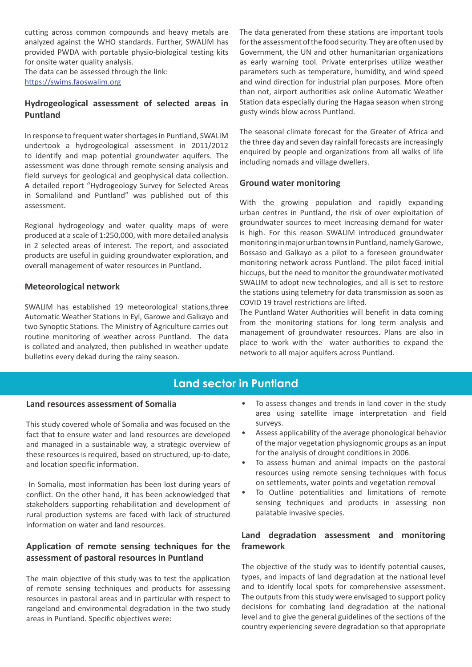cutting across common compounds and heavy metals are analyzed against the WHO standards. Further, SWALIM has provided PWDA with portable physio-biological testing kits for onsite water quality analysis.

The data can be assessed through the link: https://swims.faoswalim.org

#### **Hydrogeological assessment of selected areas in Puntland**

In response to frequent water shortages in Puntland, SWALIM undertook a hydrogeological assessment in 2011/2012 to identify and map potential groundwater aquifers. The assessment was done through remote sensing analysis and field surveys for geological and geophysical data collection. A detailed report "Hydrogeology Survey for Selected Areas in Somaliland and Puntland" was published out of this assessment.

Regional hydrogeology and water quality maps of were produced at a scale of 1:250,000, with more detailed analysis in 2 selected areas of interest. The report, and associated products are useful in guiding groundwater exploration, and overall management of water resources in Puntland.

#### **Meteorological network**

SWALIM has established 19 meteorological stations,three Automatic Weather Stations in Eyl, Garowe and Galkayo and two Synoptic Stations. The Ministry of Agriculture carries out routine monitoring of weather across Puntland. The data is collated and analyzed, then published in weather update bulletins every dekad during the rainy season.

The data generated from these stations are important tools for the assessment of the food security. They are often used by Government, the UN and other humanitarian organizations as early warning tool. Private enterprises utilize weather parameters such as temperature, humidity, and wind speed and wind direction for industrial plan purposes. More often than not, airport authorities ask online Automatic Weather Station data especially during the Hagaa season when strong gusty winds blow across Puntland.

The seasonal climate forecast for the Greater of Africa and the three day and seven day rainfall forecasts are increasingly enquired by people and organizations from all walks of life including nomads and village dwellers.

#### **Ground water monitoring**

With the growing population and rapidly expanding urban centres in Puntland, the risk of over exploitation of groundwater sources to meet increasing demand for water is high. For this reason SWALIM introduced groundwater monitoring in major urban towns in Puntland, namely Garowe, Bossaso and Galkayo as a pilot to a foreseen groundwater monitoring network across Puntland. The pilot faced initial hiccups, but the need to monitor the groundwater motivated SWALIM to adopt new technologies, and all is set to restore the stations using telemetry for data transmission as soon as COVID 19 travel restrictions are lifted.

The Puntland Water Authorities will benefit in data coming from the monitoring stations for long term analysis and management of groundwater resources. Plans are also in place to work with the water authorities to expand the network to all major aquifers across Puntland.

### **Land sector in Puntland**

#### **Land resources assessment of Somalia**

This study covered whole of Somalia and was focused on the fact that to ensure water and land resources are developed and managed in a sustainable way, a strategic overview of these resources is required, based on structured, up-to-date, and location specific information.

 In Somalia, most information has been lost during years of conflict. On the other hand, it has been acknowledged that stakeholders supporting rehabilitation and development of rural production systems are faced with lack of structured information on water and land resources.

#### **Application of remote sensing techniques for the assessment of pastoral resources in Puntland**

The main objective of this study was to test the application of remote sensing techniques and products for assessing resources in pastoral areas and in particular with respect to rangeland and environmental degradation in the two study areas in Puntland. Specific objectives were:

- To assess changes and trends in land cover in the study area using satellite image interpretation and field surveys.
- Assess applicability of the average phonological behavior of the major vegetation physiognomic groups as an input for the analysis of drought conditions in 2006.
- To assess human and animal impacts on the pastoral resources using remote sensing techniques with focus on settlements, water points and vegetation removal
- To Outline potentialities and limitations of remote sensing techniques and products in assessing non palatable invasive species.

#### **Land degradation assessment and monitoring framework**

The objective of the study was to identify potential causes, types, and impacts of land degradation at the national level and to identify local spots for comprehensive assessment. The outputs from this study were envisaged to support policy decisions for combating land degradation at the national level and to give the general guidelines of the sections of the country experiencing severe degradation so that appropriate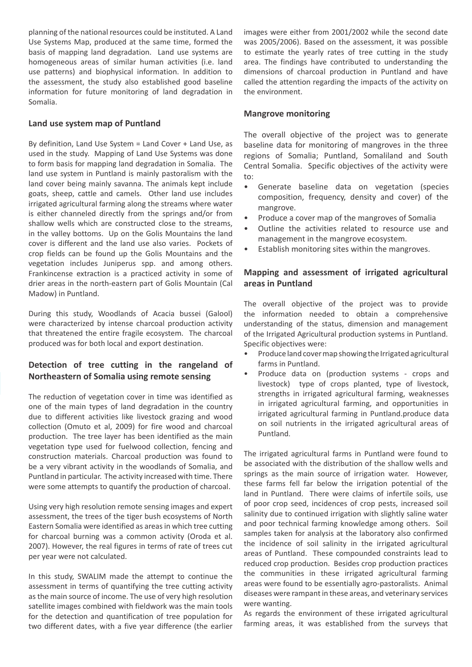planning of the national resources could be instituted. A Land Use Systems Map, produced at the same time, formed the basis of mapping land degradation. Land use systems are homogeneous areas of similar human activities (i.e. land use patterns) and biophysical information. In addition to the assessment, the study also established good baseline information for future monitoring of land degradation in Somalia.

#### **Land use system map of Puntland**

By definition, Land Use System = Land Cover + Land Use, as used in the study. Mapping of Land Use Systems was done to form basis for mapping land degradation in Somalia. The land use system in Puntland is mainly pastoralism with the land cover being mainly savanna. The animals kept include goats, sheep, cattle and camels. Other land use includes irrigated agricultural farming along the streams where water is either channeled directly from the springs and/or from shallow wells which are constructed close to the streams, in the valley bottoms. Up on the Golis Mountains the land cover is different and the land use also varies. Pockets of crop fields can be found up the Golis Mountains and the vegetation includes Juniperus spp. and among others. Frankincense extraction is a practiced activity in some of drier areas in the north-eastern part of Golis Mountain (Cal Madow) in Puntland.

During this study, Woodlands of Acacia bussei (Galool) were characterized by intense charcoal production activity that threatened the entire fragile ecosystem. The charcoal produced was for both local and export destination.

#### **Detection of tree cutting in the rangeland of Northeastern of Somalia using remote sensing**

The reduction of vegetation cover in time was identified as one of the main types of land degradation in the country due to different activities like livestock grazing and wood collection (Omuto et al, 2009) for fire wood and charcoal production. The tree layer has been identified as the main vegetation type used for fuelwood collection, fencing and construction materials. Charcoal production was found to be a very vibrant activity in the woodlands of Somalia, and Puntland in particular. The activity increased with time. There were some attempts to quantify the production of charcoal.

Using very high resolution remote sensing images and expert assessment, the trees of the tiger bush ecosystems of North Eastern Somalia were identified as areas in which tree cutting for charcoal burning was a common activity (Oroda et al. 2007). However, the real figures in terms of rate of trees cut per year were not calculated.

In this study, SWALIM made the attempt to continue the assessment in terms of quantifying the tree cutting activity as the main source of income. The use of very high resolution satellite images combined with fieldwork was the main tools for the detection and quantification of tree population for two different dates, with a five year difference (the earlier images were either from 2001/2002 while the second date was 2005/2006). Based on the assessment, it was possible to estimate the yearly rates of tree cutting in the study area. The findings have contributed to understanding the dimensions of charcoal production in Puntland and have called the attention regarding the impacts of the activity on the environment.

#### **Mangrove monitoring**

The overall objective of the project was to generate baseline data for monitoring of mangroves in the three regions of Somalia; Puntland, Somaliland and South Central Somalia. Specific objectives of the activity were to:

- Generate baseline data on vegetation (species composition, frequency, density and cover) of the mangrove.
- Produce a cover map of the mangroves of Somalia
- Outline the activities related to resource use and management in the mangrove ecosystem.
- Establish monitoring sites within the mangroves.

#### **Mapping and assessment of irrigated agricultural areas in Puntland**

The overall objective of the project was to provide the information needed to obtain a comprehensive understanding of the status, dimension and management of the Irrigated Agricultural production systems in Puntland. Specific objectives were:

- Produce land cover map showing the Irrigated agricultural farms in Puntland.
- Produce data on (production systems crops and livestock) type of crops planted, type of livestock, strengths in irrigated agricultural farming, weaknesses in irrigated agricultural farming, and opportunities in irrigated agricultural farming in Puntland.produce data on soil nutrients in the irrigated agricultural areas of Puntland.

The irrigated agricultural farms in Puntland were found to be associated with the distribution of the shallow wells and springs as the main source of irrigation water. However, these farms fell far below the irrigation potential of the land in Puntland. There were claims of infertile soils, use of poor crop seed, incidences of crop pests, increased soil salinity due to continued irrigation with slightly saline water and poor technical farming knowledge among others. Soil samples taken for analysis at the laboratory also confirmed the incidence of soil salinity in the irrigated agricultural areas of Puntland. These compounded constraints lead to reduced crop production. Besides crop production practices the communities in these irrigated agricultural farming areas were found to be essentially agro-pastoralists. Animal diseases were rampant in these areas, and veterinary services were wanting.

As regards the environment of these irrigated agricultural farming areas, it was established from the surveys that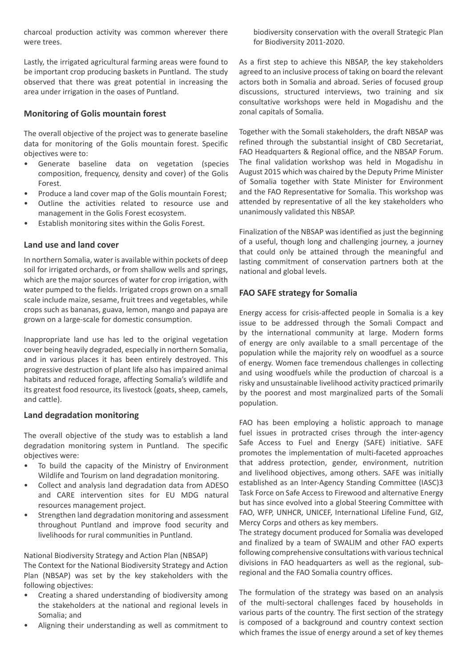charcoal production activity was common wherever there were trees.

Lastly, the irrigated agricultural farming areas were found to be important crop producing baskets in Puntland. The study observed that there was great potential in increasing the area under irrigation in the oases of Puntland.

#### **Monitoring of Golis mountain forest**

The overall objective of the project was to generate baseline data for monitoring of the Golis mountain forest. Specific objectives were to:

- Generate baseline data on vegetation (species composition, frequency, density and cover) of the Golis Forest.
- Produce a land cover map of the Golis mountain Forest;
- Outline the activities related to resource use and management in the Golis Forest ecosystem.
- Establish monitoring sites within the Golis Forest.

#### **Land use and land cover**

In northern Somalia, water is available within pockets of deep soil for irrigated orchards, or from shallow wells and springs, which are the major sources of water for crop irrigation, with water pumped to the fields. Irrigated crops grown on a small scale include maize, sesame, fruit trees and vegetables, while crops such as bananas, guava, lemon, mango and papaya are grown on a large-scale for domestic consumption.

Inappropriate land use has led to the original vegetation cover being heavily degraded, especially in northern Somalia, and in various places it has been entirely destroyed. This progressive destruction of plant life also has impaired animal habitats and reduced forage, affecting Somalia's wildlife and its greatest food resource, its livestock (goats, sheep, camels, and cattle).

#### **Land degradation monitoring**

The overall objective of the study was to establish a land degradation monitoring system in Puntland. The specific objectives were:

- To build the capacity of the Ministry of Environment Wildlife and Tourism on land degradation monitoring.
- Collect and analysis land degradation data from ADESO and CARE intervention sites for EU MDG natural resources management project.
- Strengthen land degradation monitoring and assessment throughout Puntland and improve food security and livelihoods for rural communities in Puntland.

National Biodiversity Strategy and Action Plan (NBSAP) The Context for the National Biodiversity Strategy and Action Plan (NBSAP) was set by the key stakeholders with the following objectives:

- Creating a shared understanding of biodiversity among the stakeholders at the national and regional levels in Somalia; and
- Aligning their understanding as well as commitment to

biodiversity conservation with the overall Strategic Plan for Biodiversity 2011-2020.

As a first step to achieve this NBSAP, the key stakeholders agreed to an inclusive process of taking on board the relevant actors both in Somalia and abroad. Series of focused group discussions, structured interviews, two training and six consultative workshops were held in Mogadishu and the zonal capitals of Somalia.

Together with the Somali stakeholders, the draft NBSAP was refined through the substantial insight of CBD Secretariat, FAO Headquarters & Regional office, and the NBSAP Forum. The final validation workshop was held in Mogadishu in August 2015 which was chaired by the Deputy Prime Minister of Somalia together with State Minister for Environment and the FAO Representative for Somalia. This workshop was attended by representative of all the key stakeholders who unanimously validated this NBSAP.

Finalization of the NBSAP was identified as just the beginning of a useful, though long and challenging journey, a journey that could only be attained through the meaningful and lasting commitment of conservation partners both at the national and global levels.

#### **FAO SAFE strategy for Somalia**

Energy access for crisis-affected people in Somalia is a key issue to be addressed through the Somali Compact and by the international community at large. Modern forms of energy are only available to a small percentage of the population while the majority rely on woodfuel as a source of energy. Women face tremendous challenges in collecting and using woodfuels while the production of charcoal is a risky and unsustainable livelihood activity practiced primarily by the poorest and most marginalized parts of the Somali population.

FAO has been employing a holistic approach to manage fuel issues in protracted crises through the inter-agency Safe Access to Fuel and Energy (SAFE) initiative. SAFE promotes the implementation of multi-faceted approaches that address protection, gender, environment, nutrition and livelihood objectives, among others. SAFE was initially established as an Inter-Agency Standing Committee (IASC)3 Task Force on Safe Access to Firewood and alternative Energy but has since evolved into a global Steering Committee with FAO, WFP, UNHCR, UNICEF, International Lifeline Fund, GIZ, Mercy Corps and others as key members.

The strategy document produced for Somalia was developed and finalized by a team of SWALIM and other FAO experts following comprehensive consultations with various technical divisions in FAO headquarters as well as the regional, subregional and the FAO Somalia country offices.

The formulation of the strategy was based on an analysis of the multi-sectoral challenges faced by households in various parts of the country. The first section of the strategy is composed of a background and country context section which frames the issue of energy around a set of key themes